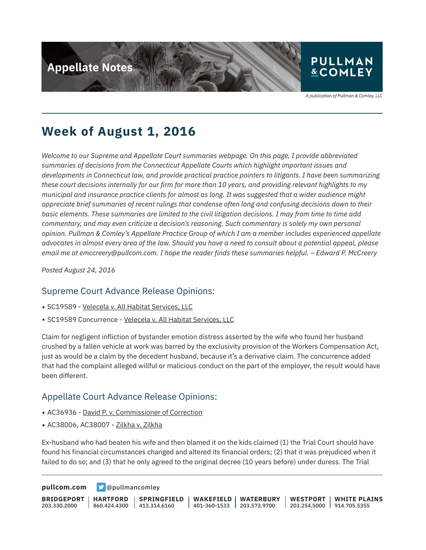

A publication of Pullman & Comley, LLC

## **Week of August 1, 2016**

*Welcome to our Supreme and Appellate Court summaries webpage. On this page, I provide abbreviated summaries of decisions from the Connecticut Appellate Courts which highlight important issues and developments in Connecticut law, and provide practical practice pointers to litigants. I have been summarizing these court decisions internally for our firm for more than 10 years, and providing relevant highlights to my municipal and insurance practice clients for almost as long. It was suggested that a wider audience might appreciate brief summaries of recent rulings that condense often long and confusing decisions down to their basic elements. These summaries are limited to the civil litigation decisions. I may from time to time add commentary, and may even criticize a decision's reasoning. Such commentary is solely my own personal opinion. Pullman & Comley's Appellate Practice Group of which I am a member includes experienced appellate advocates in almost every area of the law. Should you have a need to consult about a potential appeal, please email me at emccreery@pullcom.com. I hope the reader finds these summaries helpful. – Edward P. McCreery*

*Posted August 24, 2016*

#### Supreme Court Advance Release Opinions:

- SC19589 Velecela v. All Habitat Services, LLC
- SC19589 Concurrence Velecela v. All Habitat Services, LLC

Claim for negligent infliction of bystander emotion distress asserted by the wife who found her husband crushed by a fallen vehicle at work was barred by the exclusivity provision of the Workers Compensation Act, just as would be a claim by the decedent husband, because it's a derivative claim. The concurrence added that had the complaint alleged willful or malicious conduct on the part of the employer, the result would have been different.

### Appellate Court Advance Release Opinions:

- AC36936 David P. v. Commissioner of Correction
- AC38006, AC38007 Zilkha v. Zilkha

Ex-husband who had beaten his wife and then blamed it on the kids claimed (1) the Trial Court should have found his financial circumstances changed and altered its financial orders; (2) that it was prejudiced when it failed to do so; and (3) that he only agreed to the original decree (10 years before) under duress. The Trial

**[pullcom.com](https://www.pullcom.com) g** [@pullmancomley](https://twitter.com/PullmanComley)

**BRIDGEPORT** 203.330.2000 **HARTFORD** 860.424.4300 **SPRINGFIELD**  $1413.314.6160$ **WAKEFIELD** 401-360-1533 203.573.9700 **WATERBURY WESTPORT** 203.254.5000 914.705.5355 **WHITE PLAINS**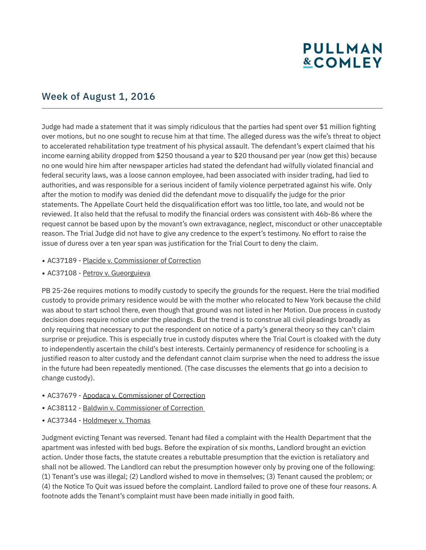# **PULLMAN &COMLEY**

### Week of August 1, 2016

Judge had made a statement that it was simply ridiculous that the parties had spent over \$1 million fighting over motions, but no one sought to recuse him at that time. The alleged duress was the wife's threat to object to accelerated rehabilitation type treatment of his physical assault. The defendant's expert claimed that his income earning ability dropped from \$250 thousand a year to \$20 thousand per year (now get this) because no one would hire him after newspaper articles had stated the defendant had wilfully violated financial and federal security laws, was a loose cannon employee, had been associated with insider trading, had lied to authorities, and was responsible for a serious incident of family violence perpetrated against his wife. Only after the motion to modify was denied did the defendant move to disqualify the judge for the prior statements. The Appellate Court held the disqualification effort was too little, too late, and would not be reviewed. It also held that the refusal to modify the financial orders was consistent with 46b-86 where the request cannot be based upon by the movant's own extravagance, neglect, misconduct or other unacceptable reason. The Trial Judge did not have to give any credence to the expert's testimony. No effort to raise the issue of duress over a ten year span was justification for the Trial Court to deny the claim.

- AC37189 Placide v. Commissioner of Correction
- AC37108 Petrov v. Gueorguieva

PB 25-26e requires motions to modify custody to specify the grounds for the request. Here the trial modified custody to provide primary residence would be with the mother who relocated to New York because the child was about to start school there, even though that ground was not listed in her Motion. Due process in custody decision does require notice under the pleadings. But the trend is to construe all civil pleadings broadly as only requiring that necessary to put the respondent on notice of a party's general theory so they can't claim surprise or prejudice. This is especially true in custody disputes where the Trial Court is cloaked with the duty to independently ascertain the child's best interests. Certainly permanency of residence for schooling is a justified reason to alter custody and the defendant cannot claim surprise when the need to address the issue in the future had been repeatedly mentioned. (The case discusses the elements that go into a decision to change custody).

- AC37679 Apodaca v. Commissioner of Correction
- AC38112 Baldwin v. Commissioner of Correction
- AC37344 Holdmeyer v. Thomas

Judgment evicting Tenant was reversed. Tenant had filed a complaint with the Health Department that the apartment was infested with bed bugs. Before the expiration of six months, Landlord brought an eviction action. Under those facts, the statute creates a rebuttable presumption that the eviction is retaliatory and shall not be allowed. The Landlord can rebut the presumption however only by proving one of the following: (1) Tenant's use was illegal; (2) Landlord wished to move in themselves; (3) Tenant caused the problem; or (4) the Notice To Quit was issued before the complaint. Landlord failed to prove one of these four reasons. A footnote adds the Tenant's complaint must have been made initially in good faith.